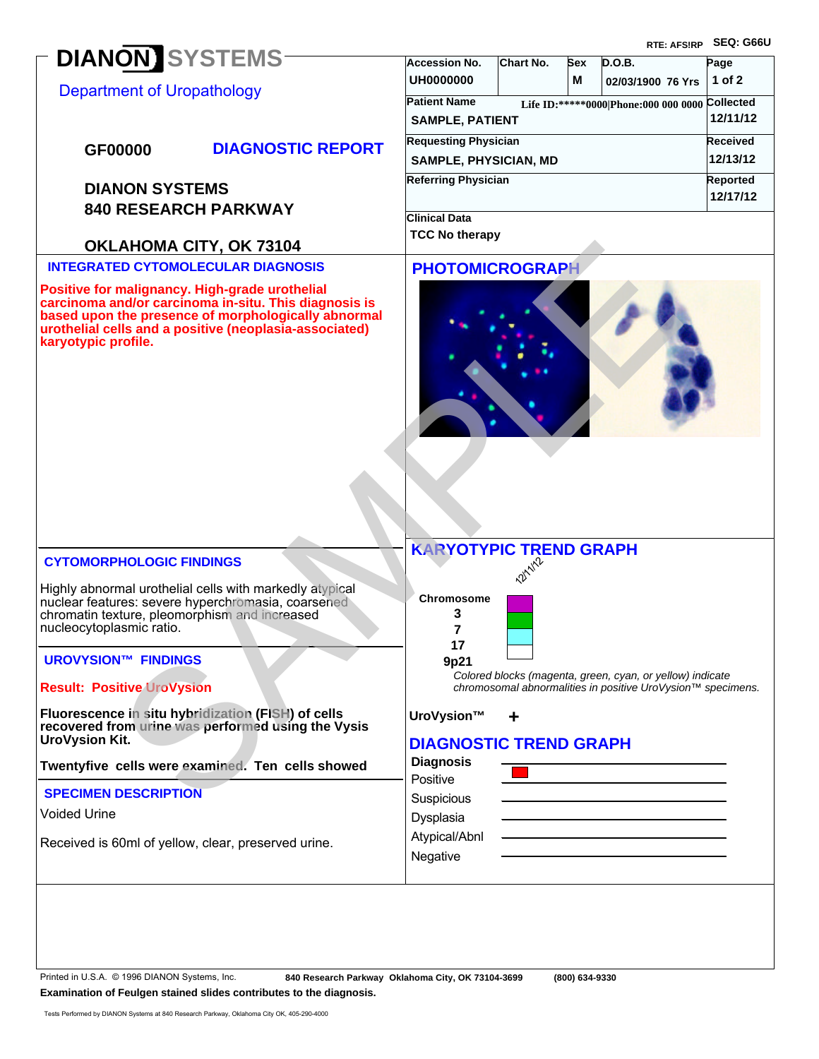|                                                                                                                                                                                                                                                 |                                               |                                                            |     |                                                                                                                          | RTE: AFSIRP SEQ: G66U |
|-------------------------------------------------------------------------------------------------------------------------------------------------------------------------------------------------------------------------------------------------|-----------------------------------------------|------------------------------------------------------------|-----|--------------------------------------------------------------------------------------------------------------------------|-----------------------|
| <b>DIANON</b> SYSTEMS                                                                                                                                                                                                                           | <b>Accession No.</b>                          | Chart No.                                                  | Sex | D.O.B.                                                                                                                   | Page                  |
| <b>Department of Uropathology</b>                                                                                                                                                                                                               | <b>UH0000000</b>                              |                                                            | м   | 02/03/1900 76 Yrs                                                                                                        | 1 of $2$              |
|                                                                                                                                                                                                                                                 | <b>Patient Name</b><br><b>SAMPLE, PATIENT</b> | Life ID:*****0000 Phone:000 000 0000 Collected<br>12/11/12 |     |                                                                                                                          |                       |
|                                                                                                                                                                                                                                                 | <b>Requesting Physician</b>                   | Received                                                   |     |                                                                                                                          |                       |
| <b>DIAGNOSTIC REPORT</b><br>GF00000                                                                                                                                                                                                             | <b>SAMPLE, PHYSICIAN, MD</b>                  | 12/13/12                                                   |     |                                                                                                                          |                       |
| <b>DIANON SYSTEMS</b>                                                                                                                                                                                                                           | <b>Referring Physician</b>                    | Reported                                                   |     |                                                                                                                          |                       |
| <b>840 RESEARCH PARKWAY</b>                                                                                                                                                                                                                     |                                               | 12/17/12                                                   |     |                                                                                                                          |                       |
|                                                                                                                                                                                                                                                 | <b>Clinical Data</b>                          |                                                            |     |                                                                                                                          |                       |
| OKLAHOMA CITY, OK 73104                                                                                                                                                                                                                         | <b>TCC No therapy</b>                         |                                                            |     |                                                                                                                          |                       |
| <b>INTEGRATED CYTOMOLECULAR DIAGNOSIS</b>                                                                                                                                                                                                       | <b>PHOTOMICROGRAPH</b>                        |                                                            |     |                                                                                                                          |                       |
| Positive for malignancy. High-grade urothelial<br>carcinoma and/or carcinoma in-situ. This diagnosis is<br>based upon the presence of morphologically abnormal<br>urothelial cells and a positive (neoplasia-associated)<br>karyotypic profile. |                                               |                                                            |     |                                                                                                                          |                       |
| <b>CYTOMORPHOLOGIC FINDINGS</b>                                                                                                                                                                                                                 | <b>KARYOTYPIC TREND GRAPH</b>                 |                                                            |     |                                                                                                                          |                       |
| Highly abnormal urothelial cells with markedly atypical<br>nuclear features: severe hyperchromasia, coarsened<br>chromatin texture, pleomorphism and increased<br>nucleocytoplasmic ratio.<br><b>UROVYSION™ FINDINGS</b>                        | Chromosome<br>3<br>7<br>17<br>9p21            | <b>2211/12</b>                                             |     |                                                                                                                          |                       |
| <b>Result: Positive UroVysion</b>                                                                                                                                                                                                               |                                               |                                                            |     | Colored blocks (magenta, green, cyan, or yellow) indicate<br>chromosomal abnormalities in positive UroVysion™ specimens. |                       |
| Fluorescence in situ hybridization (FISH) of cells<br>recovered from urine was performed using the Vysis<br><b>UroVysion Kit.</b>                                                                                                               | UroVysion™<br><b>DIAGNOSTIC TREND GRAPH</b>   | ÷                                                          |     |                                                                                                                          |                       |
| Twentyfive cells were examined. Ten cells showed                                                                                                                                                                                                | <b>Diagnosis</b>                              |                                                            |     |                                                                                                                          |                       |
| <b>SPECIMEN DESCRIPTION</b>                                                                                                                                                                                                                     | Positive<br>Suspicious                        |                                                            |     |                                                                                                                          |                       |
| <b>Voided Urine</b>                                                                                                                                                                                                                             | Dysplasia                                     |                                                            |     |                                                                                                                          |                       |
| Received is 60ml of yellow, clear, preserved urine.                                                                                                                                                                                             | Atypical/Abnl<br>Negative                     |                                                            |     |                                                                                                                          |                       |
|                                                                                                                                                                                                                                                 |                                               |                                                            |     |                                                                                                                          |                       |

Printed in U.S.A. © 1996 DIANON Systems, Inc.

 **840 Research Parkway Oklahoma City, OK 73104-3699 (800) 634-9330**

**Examination of Feulgen stained slides contributes to the diagnosis.**